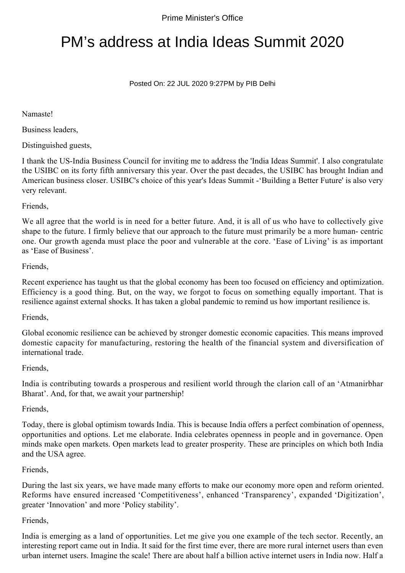# PM's address at India Ideas Summit 2020

## Posted On: 22 JUL 2020 9:27PM by PIB Delhi

# Namaste!

Business leaders,

Distinguished guests,

I thank the US-India Business Council for inviting me to address the 'India Ideas Summit'. I also congratulate the USIBC on its forty fifth anniversary this year. Over the past decades, the USIBC has brought Indian and American business closer. USIBC's choice of this year's Ideas Summit -'Building a Better Future' is also very very relevant.

## Friends,

We all agree that the world is in need for a better future. And, it is all of us who have to collectively give shape to the future. I firmly believe that our approach to the future must primarily be a more human- centric one. Our growth agenda must place the poor and vulnerable at the core. 'Ease of Living' is as important as 'Ease of Business'.

## Friends,

Recent experience has taught us that the global economy has been too focused on efficiency and optimization. Efficiency is a good thing. But, on the way, we forgot to focus on something equally important. That is resilience against external shocks. It has taken a global pandemic to remind us how important resilience is.

#### Friends,

Global economic resilience can be achieved by stronger domestic economic capacities. This means improved domestic capacity for manufacturing, restoring the health of the financial system and diversification of international trade.

#### Friends,

India is contributing towards a prosperous and resilient world through the clarion call of an 'Atmanirbhar Bharat'. And, for that, we await your partnership!

#### Friends,

Today, there is global optimism towards India. This is because India offers a perfect combination of openness, opportunities and options. Let me elaborate. India celebrates openness in people and in governance. Open minds make open markets. Open markets lead to greater prosperity. These are principles on which both India and the USA agree.

#### Friends,

During the last six years, we have made many efforts to make our economy more open and reform oriented. Reforms have ensured increased 'Competitiveness', enhanced 'Transparency', expanded 'Digitization', greater 'Innovation' and more 'Policy stability'.

# Friends,

India is emerging as a land of opportunities. Let me give you one example of the tech sector. Recently, an interesting report came out in India. It said for the first time ever, there are more rural internet users than even urban internet users. Imagine the scale! There are about half a billion active internet users in India now. Half a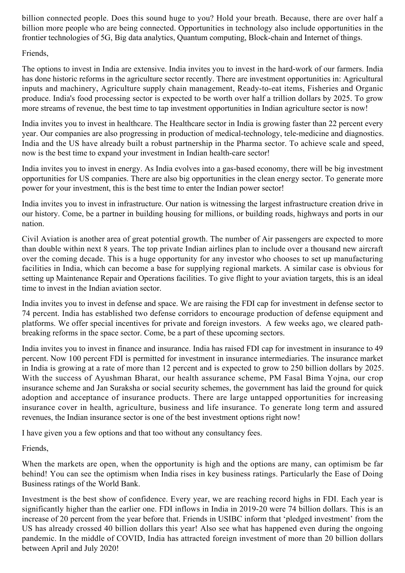billion connected people. Does this sound huge to you? Hold your breath. Because, there are over half a billion more people who are being connected. Opportunities in technology also include opportunities in the frontier technologies of 5G, Big data analytics, Quantum computing, Block-chain and Internet of things.

# Friends,

The options to invest in India are extensive. India invites you to invest in the hard-work of our farmers. India has done historic reforms in the agriculture sector recently. There are investment opportunities in: Agricultural inputs and machinery, Agriculture supply chain management, Ready-to-eat items, Fisheries and Organic produce. India's food processing sector is expected to be worth over half a trillion dollars by 2025. To grow more streams of revenue, the best time to tap investment opportunities in Indian agriculture sector is now!

India invites you to invest in healthcare. The Healthcare sector in India is growing faster than 22 percent every year. Our companies are also progressing in production of medical-technology, tele-medicine and diagnostics. India and the US have already built a robust partnership in the Pharma sector. To achieve scale and speed, now is the best time to expand your investment in Indian health-care sector!

India invites you to invest in energy. As India evolves into a gas-based economy, there will be big investment opportunities for US companies. There are also big opportunities in the clean energy sector. To generate more power for your investment, this is the best time to enter the Indian power sector!

India invites you to invest in infrastructure. Our nation is witnessing the largest infrastructure creation drive in our history. Come, be a partner in building housing for millions, or building roads, highways and ports in our nation.

Civil Aviation is another area of great potential growth. The number of Air passengers are expected to more than double within next 8 years. The top private Indian airlines plan to include over a thousand new aircraft over the coming decade. This is a huge opportunity for any investor who chooses to set up manufacturing facilities in India, which can become a base for supplying regional markets. A similar case is obvious for setting up Maintenance Repair and Operations facilities. To give flight to your aviation targets, this is an ideal time to invest in the Indian aviation sector.

India invites you to invest in defense and space. We are raising the FDI cap for investment in defense sector to 74 percent. India has established two defense corridors to encourage production of defense equipment and platforms. We offer special incentives for private and foreign investors. A few weeks ago, we cleared pathbreaking reforms in the space sector. Come, be a part of these upcoming sectors.

India invites you to invest in finance and insurance. India has raised FDI cap for investment in insurance to 49 percent. Now 100 percent FDI is permitted for investment in insurance intermediaries. The insurance market in India is growing at a rate of more than 12 percent and is expected to grow to 250 billion dollars by 2025. With the success of Ayushman Bharat, our health assurance scheme, PM Fasal Bima Yojna, our crop insurance scheme and Jan Suraksha or social security schemes, the government has laid the ground for quick adoption and acceptance of insurance products. There are large untapped opportunities for increasing insurance cover in health, agriculture, business and life insurance. To generate long term and assured revenues, the Indian insurance sector is one of the best investment options right now!

I have given you a few options and that too without any consultancy fees.

Friends,

When the markets are open, when the opportunity is high and the options are many, can optimism be far behind! You can see the optimism when India rises in key business ratings. Particularly the Ease of Doing Business ratings of the World Bank.

Investment is the best show of confidence. Every year, we are reaching record highs in FDI. Each year is significantly higher than the earlier one. FDI inflows in India in 2019-20 were 74 billion dollars. This is an increase of 20 percent from the year before that. Friends in USIBC inform that 'pledged investment' from the US has already crossed 40 billion dollars this year! Also see what has happened even during the ongoing pandemic. In the middle of COVID, India has attracted foreign investment of more than 20 billion dollars between April and July 2020!